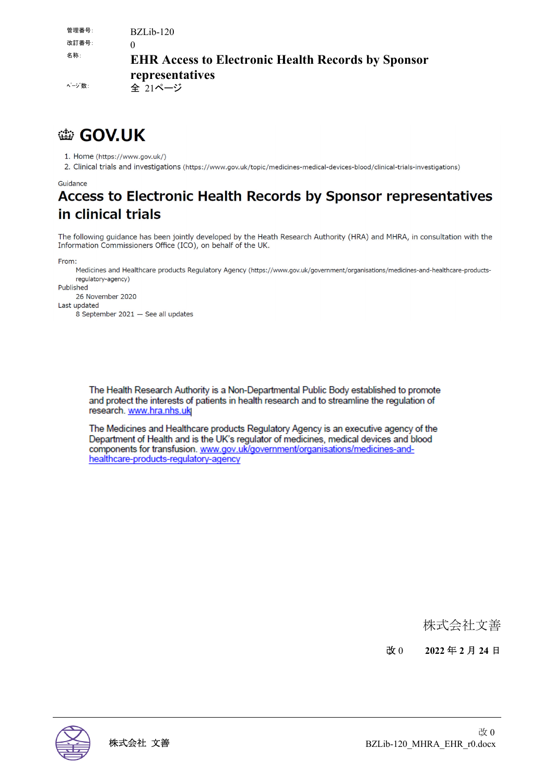| 管理番号:<br>改訂番号: | $BZLib-120$                                               |
|----------------|-----------------------------------------------------------|
| 名称:            | <b>EHR Access to Electronic Health Records by Sponsor</b> |
| ページ 数:         | representatives<br>全 21ページ                                |

## **● GOV.UK**

1. Home (https://www.gov.uk/)

2. Clinical trials and investigations (https://www.gov.uk/topic/medicines-medical-devices-blood/clinical-trials-investigations)

#### Guidance

## Access to Electronic Health Records by Sponsor representatives in clinical trials

The following guidance has been jointly developed by the Heath Research Authority (HRA) and MHRA, in consultation with the Information Commissioners Office (ICO), on behalf of the UK.

From:

Medicines and Healthcare products Regulatory Agency (https://www.gov.uk/government/organisations/medicines-and-healthcare-productsregulatory-agency)

Published 26 November 2020

Last updated

8 September 2021 - See all updates

The Health Research Authority is a Non-Departmental Public Body established to promote and protect the interests of patients in health research and to streamline the regulation of research. www.hra.nhs.uk

The Medicines and Healthcare products Regulatory Agency is an executive agency of the Department of Health and is the UK's regulator of medicines, medical devices and blood components for transfusion. www.gov.uk/government/organisations/medicines-andhealthcare-products-regulatory-agency

### 株式会社文善

改 0 **2022** 年 **2** 月 **24** 日

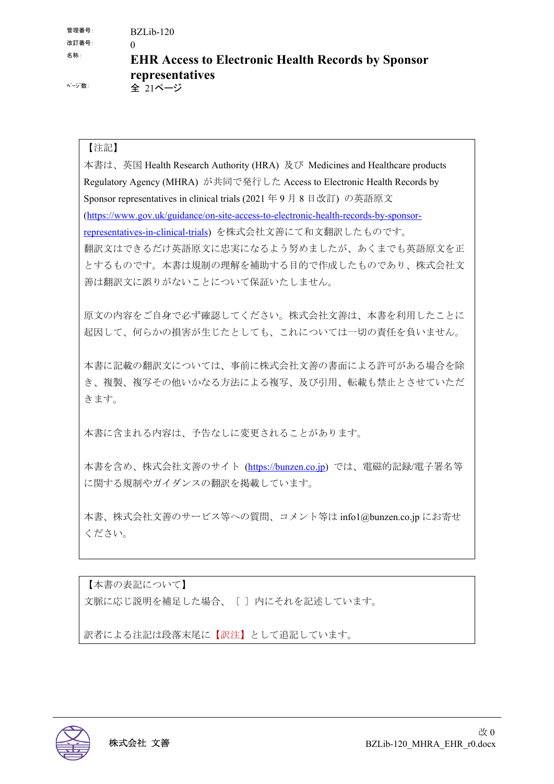| 管理番号:<br>改訂番号: | $BZLib-120$                                               |
|----------------|-----------------------------------------------------------|
| 名称:            | <b>EHR Access to Electronic Health Records by Sponsor</b> |
| ページ 数:         | representatives<br>全 21ページ                                |

#### 【注記】

本書は、英国 Health Research Authority (HRA) 及び Medicines and Healthcare products Regulatory Agency (MHRA) が共同で発行した Access to Electronic Health Records by Sponsor representatives in clinical trials (2021 年 9 月 8 日改訂) の英語原文 (https://www.gov.uk/guidance/on-site-access-to-electronic-health-records-by-sponsorrepresentatives-in-clinical-trials) を株式会社文善にて和文翻訳したものです。 翻訳文はできるだけ英語原文に忠実になるよう努めましたが、あくまでも英語原文を正 とするものです。本書は規制の理解を補助する目的で作成したものであり、株式会社文 善は翻訳文に誤りがないことについて保証いたしません。

原文の内容をご自身で必ず確認してください。株式会社文善は、本書を利用したことに 起因して、何らかの損害が生じたとしても、これについては一切の責任を負いません。

本書に記載の翻訳文については、事前に株式会社文善の書面による許可がある場合を除 き、複製、複写その他いかなる方法による複写、及び引用、転載も禁止とさせていただ きます。

本書に含まれる内容は、予告なしに変更されることがあります。

本書を含め、株式会社文善のサイト (https://bunzen.co.jp) では、電磁的記録/電子署名等 に関する規制やガイダンスの翻訳を掲載しています。

本書、株式会社文善のサービス等への質問、コメント等は info1@bunzen.co.jp にお寄せ ください。

【本書の表記について】 文脈に応じ説明を補足した場合、〔 〕内にそれを記述しています。

訳者による注記は段落末尾に【訳注】として追記しています。

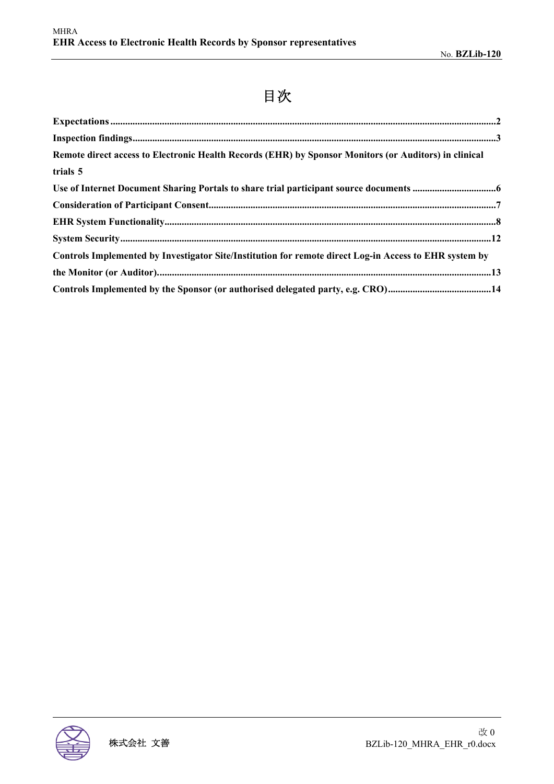# 目次

| Remote direct access to Electronic Health Records (EHR) by Sponsor Monitors (or Auditors) in clinical  |  |
|--------------------------------------------------------------------------------------------------------|--|
| trials 5                                                                                               |  |
|                                                                                                        |  |
|                                                                                                        |  |
|                                                                                                        |  |
|                                                                                                        |  |
| Controls Implemented by Investigator Site/Institution for remote direct Log-in Access to EHR system by |  |
|                                                                                                        |  |
|                                                                                                        |  |

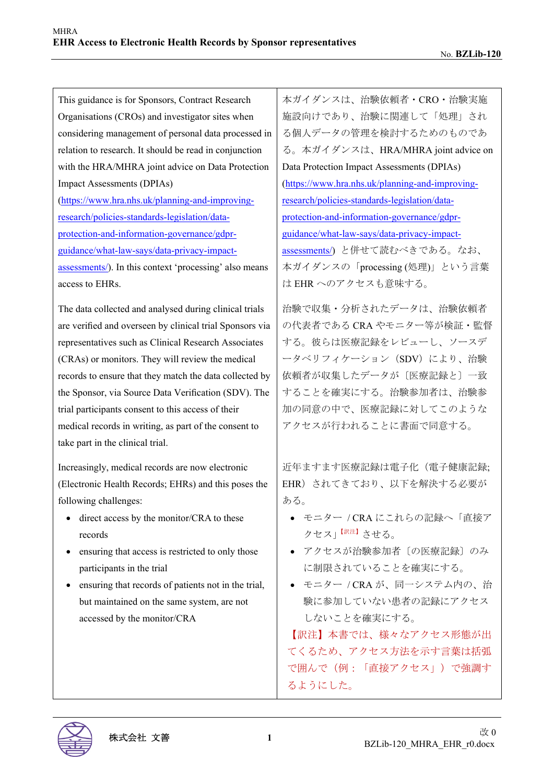| This guidance is for Sponsors, Contract Research         | 本ガイダンスは、治験依頼者·CRO·治験実施                                  |
|----------------------------------------------------------|---------------------------------------------------------|
| Organisations (CROs) and investigator sites when         | 施設向けであり、治験に関連して「処理」され                                   |
| considering management of personal data processed in     | る個人データの管理を検討するためのものであ                                   |
| relation to research. It should be read in conjunction   | る。本ガイダンスは、HRA/MHRA joint advice on                      |
| with the HRA/MHRA joint advice on Data Protection        | Data Protection Impact Assessments (DPIAs)              |
| <b>Impact Assessments (DPIAs)</b>                        | (https://www.hra.nhs.uk/planning-and-improving-         |
| (https://www.hra.nhs.uk/planning-and-improving-          | research/policies-standards-legislation/data-           |
| research/policies-standards-legislation/data-            | protection-and-information-governance/gdpr-             |
| protection-and-information-governance/gdpr-              | guidance/what-law-says/data-privacy-impact-             |
| guidance/what-law-says/data-privacy-impact-              | assessments/) と併せて読むべきである。なお、                           |
| assessments/). In this context 'processing' also means   | 本ガイダンスの「processing (処理)」という言葉                           |
| access to EHRs.                                          | は EHR へのアクセスも意味する。                                      |
| The data collected and analysed during clinical trials   | 治験で収集・分析されたデータは、治験依頼者                                   |
| are verified and overseen by clinical trial Sponsors via | の代表者である CRA やモニター等が検証・監督                                |
| representatives such as Clinical Research Associates     | する。彼らは医療記録をレビューし、ソースデ                                   |
| (CRAs) or monitors. They will review the medical         | ータベリフィケーション (SDV) により、治験                                |
| records to ensure that they match the data collected by  | 依頼者が収集したデータが〔医療記録と〕一致                                   |
| the Sponsor, via Source Data Verification (SDV). The     | することを確実にする。治験参加者は、治験参                                   |
| trial participants consent to this access of their       | 加の同意の中で、医療記録に対してこのような                                   |
| medical records in writing, as part of the consent to    | アクセスが行われることに書面で同意する。                                    |
| take part in the clinical trial.                         |                                                         |
| Increasingly, medical records are now electronic         | 近年ますます医療記録は電子化 (電子健康記録;                                 |
| (Electronic Health Records; EHRs) and this poses the     | EHR)されてきており、以下を解決する必要が                                  |
| following challenges:                                    | ある。                                                     |
| direct access by the monitor/CRA to these<br>records     | ● モニター / CRA にこれらの記録へ「直接ア<br>クセス」 「 <sup>訳注】</sup> させる。 |
| ensuring that access is restricted to only those         | アクセスが治験参加者〔の医療記録〕のみ                                     |
| participants in the trial                                | に制限されていることを確実にする。                                       |
| ensuring that records of patients not in the trial,      | ● モニター / CRA が、同一システム内の、治                               |
| but maintained on the same system, are not               | 験に参加していない患者の記録にアクセス                                     |
| accessed by the monitor/CRA                              | しないことを確実にする。                                            |
|                                                          | 【訳注】本書では、様々なアクセス形態が出                                    |
|                                                          | てくるため、アクセス方法を示す言葉は括弧                                    |
|                                                          | で囲んで(例:「直接アクセス」)で強調す                                    |
|                                                          | るようにした。                                                 |
|                                                          |                                                         |
|                                                          |                                                         |

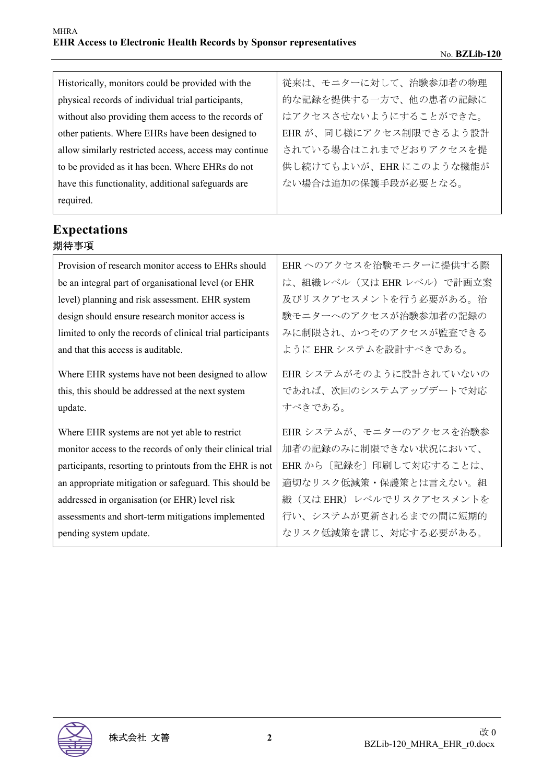| Historically, monitors could be provided with the      | 従来は、モニターに対して、治験参加者の物理   |
|--------------------------------------------------------|-------------------------|
| physical records of individual trial participants,     | 的な記録を提供する一方で、他の患者の記録に   |
| without also providing them access to the records of   | はアクセスさせないようにすることができた。   |
| other patients. Where EHRs have been designed to       | EHR が、同じ様にアクセス制限できるよう設計 |
| allow similarly restricted access, access may continue | されている場合はこれまでどおりアクセスを提   |
| to be provided as it has been. Where EHRs do not       | 供し続けてもよいが、EHRにこのような機能が  |
| have this functionality, additional safeguards are     | ない場合は追加の保護手段が必要となる。     |
| required.                                              |                         |

## **Expectations** 期待事項

| Provision of research monitor access to EHRs should                                                               | EHR へのアクセスを治験モニターに提供する際                                     |
|-------------------------------------------------------------------------------------------------------------------|-------------------------------------------------------------|
| be an integral part of organisational level (or EHR                                                               | は、組織レベル(又は EHR レベル)で計画立案                                    |
| level) planning and risk assessment. EHR system                                                                   | 及びリスクアセスメントを行う必要がある。治                                       |
| design should ensure research monitor access is                                                                   | 験モニターへのアクセスが治験参加者の記録の                                       |
| limited to only the records of clinical trial participants                                                        | みに制限され、かつそのアクセスが監査できる                                       |
| and that this access is auditable.                                                                                | ように EHR システムを設計すべきである。                                      |
| Where EHR systems have not been designed to allow<br>this, this should be addressed at the next system<br>update. | EHR システムがそのように設計されていないの<br>であれば、次回のシステムアップデートで対応<br>すべきである。 |
| Where EHR systems are not yet able to restrict                                                                    | EHR システムが、モニターのアクセスを治験参                                     |
| monitor access to the records of only their clinical trial                                                        | 加者の記録のみに制限できない状況において、                                       |
| participants, resorting to printouts from the EHR is not                                                          | EHR から〔記録を〕印刷して対応することは、                                     |
| an appropriate mitigation or safeguard. This should be                                                            | 適切なリスク低減策・保護策とは言えない。組                                       |
| addressed in organisation (or EHR) level risk                                                                     | 織(又はEHR)レベルでリスクアセスメントを                                      |
| assessments and short-term mitigations implemented                                                                | 行い、システムが更新されるまでの間に短期的                                       |
| pending system update.                                                                                            | なリスク低減策を講じ、対応する必要がある。                                       |

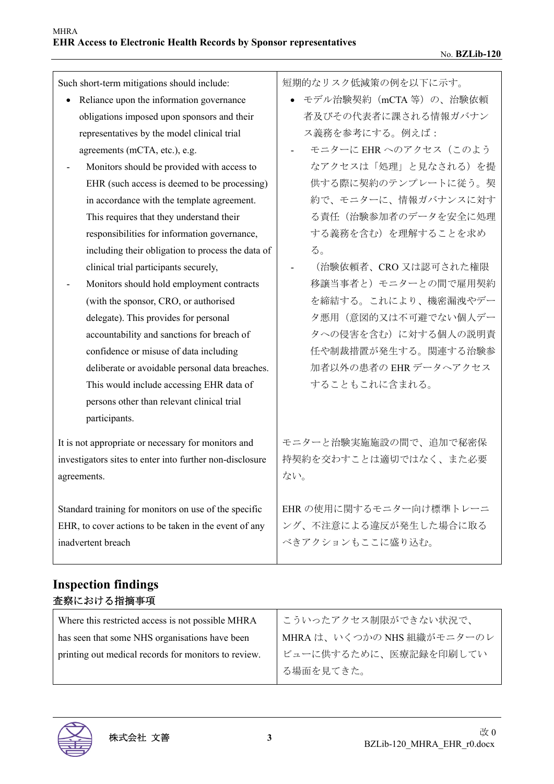| Such short-term mitigations should include:              | 短期的なリスク低減策の例を以下に示す。     |
|----------------------------------------------------------|-------------------------|
| Reliance upon the information governance<br>$\bullet$    | ● モデル治験契約 (mCTA等)の、治験依頼 |
| obligations imposed upon sponsors and their              | 者及びその代表者に課される情報ガバナン     |
| representatives by the model clinical trial              | ス義務を参考にする。例えば:          |
| agreements (mCTA, etc.), e.g.                            | モニターに EHR へのアクセス (このよう  |
| Monitors should be provided with access to               | なアクセスは「処理」と見なされる)を提     |
| EHR (such access is deemed to be processing)             | 供する際に契約のテンプレートに従う。契     |
| in accordance with the template agreement.               | 約で、モニターに、情報ガバナンスに対す     |
| This requires that they understand their                 | る責任(治験参加者のデータを安全に処理     |
| responsibilities for information governance,             | する義務を含む)を理解することを求め      |
| including their obligation to process the data of        | る。                      |
| clinical trial participants securely,                    | (治験依頼者、CRO 又は認可された権限    |
| Monitors should hold employment contracts                | 移譲当事者と) モニターとの間で雇用契約    |
| (with the sponsor, CRO, or authorised                    | を締結する。これにより、機密漏洩やデー     |
| delegate). This provides for personal                    | 夕悪用(意図的又は不可避でない個人デー     |
| accountability and sanctions for breach of               | タへの侵害を含む)に対する個人の説明責     |
| confidence or misuse of data including                   | 任や制裁措置が発生する。関連する治験参     |
| deliberate or avoidable personal data breaches.          | 加者以外の患者の EHR データへアクセス   |
| This would include accessing EHR data of                 | することもこれに含まれる。           |
| persons other than relevant clinical trial               |                         |
| participants.                                            |                         |
| It is not appropriate or necessary for monitors and      | モニターと治験実施施設の間で、追加で秘密保   |
| investigators sites to enter into further non-disclosure | 持契約を交わすことは適切ではなく、また必要   |
| agreements.                                              | ない。                     |
|                                                          |                         |
| Standard training for monitors on use of the specific    | EHR の使用に関するモニター向け標準トレーニ |
| EHR, to cover actions to be taken in the event of any    | ング、不注意による違反が発生した場合に取る   |
| inadvertent breach                                       | べきアクションもここに盛り込む。        |
|                                                          |                         |

### **Inspection findings**  査察における指摘事項

| Where this restricted access is not possible MHRA    | こういったアクセス制限ができない状況で、       |
|------------------------------------------------------|----------------------------|
| has seen that some NHS organisations have been       | MHRA は、いくつかの NHS 組織がモニターのレ |
| printing out medical records for monitors to review. | ビューに供するために、医療記録を印刷してい      |
|                                                      | る場面を見てきた。                  |
|                                                      |                            |

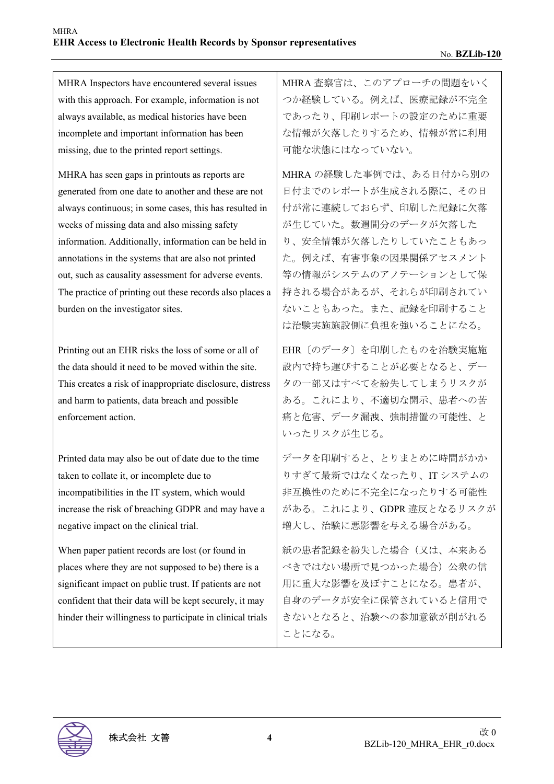MHRA Inspectors have encountered several issues with this approach. For example, information is not always available, as medical histories have been incomplete and important information has been missing, due to the printed report settings.

MHRA has seen gaps in printouts as reports are generated from one date to another and these are not always continuous; in some cases, this has resulted in weeks of missing data and also missing safety information. Additionally, information can be held in annotations in the systems that are also not printed out, such as causality assessment for adverse events. The practice of printing out these records also places a burden on the investigator sites.

Printing out an EHR risks the loss of some or all of the data should it need to be moved within the site. This creates a risk of inappropriate disclosure, distress and harm to patients, data breach and possible enforcement action.

Printed data may also be out of date due to the time taken to collate it, or incomplete due to incompatibilities in the IT system, which would increase the risk of breaching GDPR and may have a negative impact on the clinical trial.

When paper patient records are lost (or found in places where they are not supposed to be) there is a significant impact on public trust. If patients are not confident that their data will be kept securely, it may hinder their willingness to participate in clinical trials MHRA 査察官は、このアプローチの問題をいく つか経験している。例えば、医療記録が不完全 であったり、印刷レポートの設定のために重要 な情報が欠落したりするため、情報が常に利用 可能な状態にはなっていない。

MHRA の経験した事例では、ある日付から別の 日付までのレポートが生成される際に、その日 付が常に連続しておらず、印刷した記録に欠落 が生じていた。数週間分のデータが欠落した り、安全情報が欠落したりしていたこともあっ た。例えば、有害事象の因果関係アセスメント 等の情報がシステムのアノテーションとして保 持される場合があるが、それらが印刷されてい ないこともあった。また、記録を印刷すること は治験実施施設側に負担を強いることになる。

EHR〔のデータ〕を印刷したものを治験実施施 設内で持ち運びすることが必要となると、デー タの一部又はすべてを紛失してしまうリスクが ある。これにより、不適切な開示、患者への苦 痛と危害、データ漏洩、強制措置の可能性、と いったリスクが生じる。

データを印刷すると、とりまとめに時間がかか りすぎて最新ではなくなったり、IT システムの 非互換性のために不完全になったりする可能性 がある。これにより、GDPR 違反となるリスクが 増大し、治験に悪影響を与える場合がある。

紙の患者記録を紛失した場合(又は、本来ある べきではない場所で見つかった場合) 公衆の信 用に重大な影響を及ぼすことになる。患者が、 自身のデータが安全に保管されていると信用で きないとなると、治験への参加意欲が削がれる ことになる。

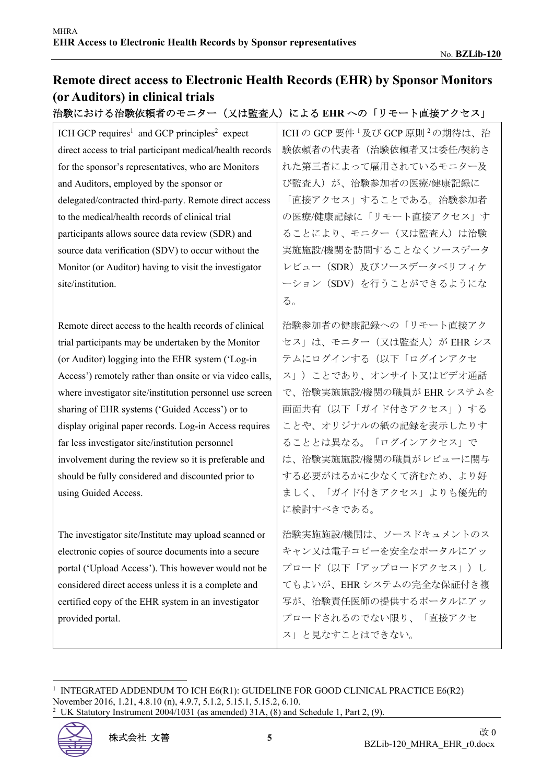## **Remote direct access to Electronic Health Records (EHR) by Sponsor Monitors (or Auditors) in clinical trials**

### 治験における治験依頼者のモニター(又は監査人)による EHR への「リモート直接アクセス」

ICH GCP requires<sup>1</sup> and GCP principles<sup>2</sup> expect direct access to trial participant medical/health records for the sponsor's representatives, who are Monitors and Auditors, employed by the sponsor or delegated/contracted third-party. Remote direct access to the medical/health records of clinical trial participants allows source data review (SDR) and source data verification (SDV) to occur without the Monitor (or Auditor) having to visit the investigator site/institution.

Remote direct access to the health records of clinical trial participants may be undertaken by the Monitor (or Auditor) logging into the EHR system ('Log-in Access') remotely rather than onsite or via video calls, where investigator site/institution personnel use screen sharing of EHR systems ('Guided Access') or to display original paper records. Log-in Access requires far less investigator site/institution personnel involvement during the review so it is preferable and should be fully considered and discounted prior to using Guided Access.

The investigator site/Institute may upload scanned or electronic copies of source documents into a secure portal ('Upload Access'). This however would not be considered direct access unless it is a complete and certified copy of the EHR system in an investigator provided portal.

ICH の GCP 要件 <sup>1</sup> 及び GCP 原則 <sup>2</sup> の期待は、治 験依頼者の代表者(治験依頼者又は委任/契約さ れた第三者によって雇用されているモニター及 び監査人)が、治験参加者の医療/健康記録に 「直接アクセス」することである。治験参加者 の医療/健康記録に「リモート直接アクセス」す ることにより、モニター(又は監査人)は治験 実施施設/機関を訪問することなくソースデータ レビュー(SDR)及びソースデータベリフィケ ーション(SDV)を行うことができるようにな る。

治験参加者の健康記録への「リモート直接アク セス」は、モニター(又は監査人)が EHR シス テムにログインする(以下「ログインアクセ ス」)ことであり、オンサイト又はビデオ通話 で、治験実施施設/機関の職員が EHR システムを 画面共有(以下「ガイド付きアクセス」)する ことや、オリジナルの紙の記録を表示したりす ることとは異なる。「ログインアクセス」で は、治験実施施設/機関の職員がレビューに関与 する必要がはるかに少なくて済むため、より好 ましく、「ガイド付きアクセス」よりも優先的 に検討すべきである。

治験実施施設/機関は、ソースドキュメントのス キャン又は電子コピーを安全なポータルにアッ プロード (以下「アップロードアクセス」)し てもよいが、EHR システムの完全な保証付き複 写が、治験責任医師の提供するポータルにアッ プロードされるのでない限り、「直接アクセ ス」と見なすことはできない。

<sup>1</sup> INTEGRATED ADDENDUM TO ICH E6(R1): GUIDELINE FOR GOOD CLINICAL PRACTICE E6(R2) November 2016, 1.21, 4.8.10 (n), 4.9.7, 5.1.2, 5.15.1, 5.15.2, 6.10. <sup>2</sup> UK Statutory Instrument 2004/1031 (as amended) 31A, (8) and Schedule 1, Part 2, (9).

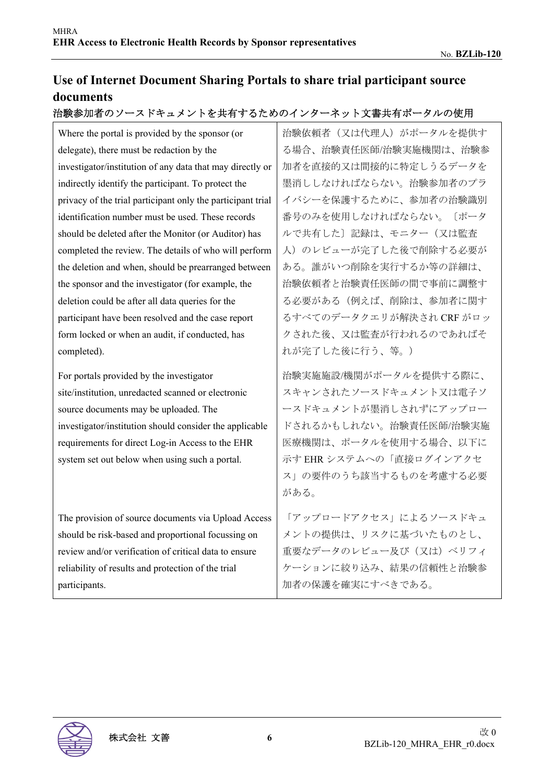## **Use of Internet Document Sharing Portals to share trial participant source documents**

#### 治験参加者のソースドキュメントを共有するためのインターネット文書共有ポータルの使用

Where the portal is provided by the sponsor (or delegate), there must be redaction by the investigator/institution of any data that may directly or indirectly identify the participant. To protect the privacy of the trial participant only the participant trial identification number must be used. These records should be deleted after the Monitor (or Auditor) has completed the review. The details of who will perform the deletion and when, should be prearranged between the sponsor and the investigator (for example, the deletion could be after all data queries for the participant have been resolved and the case report form locked or when an audit, if conducted, has completed).

For portals provided by the investigator site/institution, unredacted scanned or electronic source documents may be uploaded. The investigator/institution should consider the applicable requirements for direct Log-in Access to the EHR system set out below when using such a portal.

The provision of source documents via Upload Access should be risk-based and proportional focussing on review and/or verification of critical data to ensure reliability of results and protection of the trial participants.

治験依頼者(又は代理人)がポータルを提供す る場合、治験責任医師/治験実施機関は、治験参 加者を直接的又は間接的に特定しうるデータを 墨消ししなければならない。治験参加者のプラ イバシーを保護するために、参加者の治験識別 番号のみを使用しなければならない。〔ポータ ルで共有した〕記録は、モニター(又は監査 人)のレビューが完了した後で削除する必要が ある。誰がいつ削除を実行するか等の詳細は、 治験依頼者と治験責任医師の間で事前に調整す る必要がある(例えば、削除は、参加者に関す るすべてのデータクエリが解決され CRF がロッ クされた後、又は監査が行われるのであればそ れが完了した後に行う、等。)

治験実施施設/機関がポータルを提供する際に、 スキャンされたソースドキュメント又は電子ソ ースドキュメントが墨消しされずにアップロー ドされるかもしれない。治験責任医師/治験実施 医療機関は、ポータルを使用する場合、以下に 示す EHR システムへの「直接ログインアクセ ス」の要件のうち該当するものを考慮する必要 がある。

「アップロードアクセス」によるソースドキュ メントの提供は、リスクに基づいたものとし、 重要なデータのレビュー及び (又は)ベリフィ ケーションに絞り込み、結果の信頼性と治験参 加者の保護を確実にすべきである。

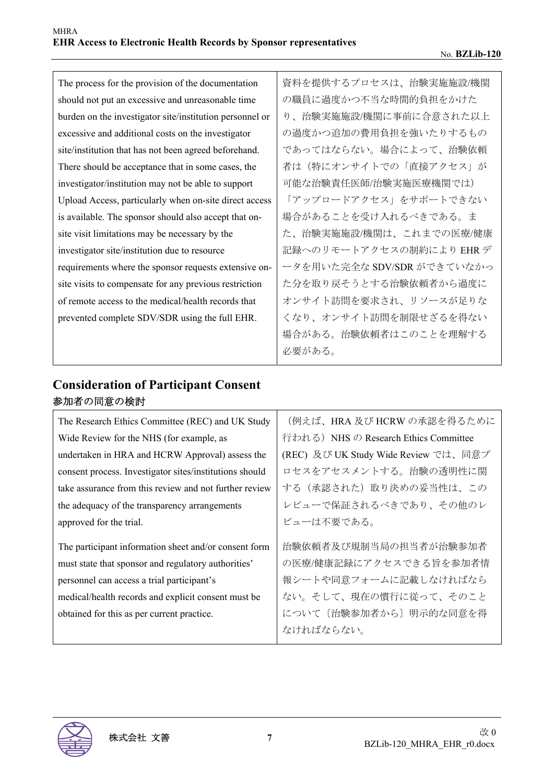| The process for the provision of the documentation       | 資料を提供するプロセスは、治験実施施設/機関     |
|----------------------------------------------------------|----------------------------|
| should not put an excessive and unreasonable time        | の職員に過度かつ不当な時間的負担をかけた       |
| burden on the investigator site/institution personnel or | り、治験実施施設/機関に事前に合意された以上     |
| excessive and additional costs on the investigator       | の過度かつ追加の費用負担を強いたりするもの      |
| site/institution that has not been agreed beforehand.    | であってはならない。場合によって、治験依頼      |
| There should be acceptance that in some cases, the       | 者は(特にオンサイトでの「直接アクセス」が      |
| investigator/institution may not be able to support      | 可能な治験責任医師/治験実施医療機関では)      |
| Upload Access, particularly when on-site direct access   | 「アップロードアクセス」をサポートできない      |
| is available. The sponsor should also accept that on-    | 場合があることを受け入れるべきである。ま       |
| site visit limitations may be necessary by the           | た、治験実施施設/機関は、これまでの医療/健康    |
| investigator site/institution due to resource            | 記録へのリモートアクセスの制約により EHR デ   |
| requirements where the sponsor requests extensive on-    | ータを用いた完全な SDV/SDR ができていなかっ |
| site visits to compensate for any previous restriction   | た分を取り戻そうとする治験依頼者から過度に      |
| of remote access to the medical/health records that      | オンサイト訪問を要求され、リソースが足りな      |
| prevented complete SDV/SDR using the full EHR.           | くなり、オンサイト訪問を制限せざるを得ない      |
|                                                          | 場合がある。治験依頼者はこのことを理解する      |
|                                                          | 必要がある。                     |

## **Consideration of Participant Consent**  参加者の同意の検討

| The Research Ethics Committee (REC) and UK Study        | (例えば、HRA及びHCRWの承認を得るために               |
|---------------------------------------------------------|---------------------------------------|
| Wide Review for the NHS (for example, as                | 行われる) NHS の Research Ethics Committee |
| undertaken in HRA and HCRW Approval) assess the         | (REC) 及び UK Study Wide Review では、同意プ  |
| consent process. Investigator sites/institutions should | ロセスをアセスメントする。治験の透明性に関                 |
| take assurance from this review and not further review  | する(承認された)取り決めの妥当性は、この                 |
| the adequacy of the transparency arrangements           | レビューで保証されるべきであり、その他のレ                 |
| approved for the trial.                                 | ビューは不要である。                            |
| The participant information sheet and/or consent form   | 治験依頼者及び規制当局の担当者が治験参加者                 |
| must state that sponsor and regulatory authorities'     | の医療/健康記録にアクセスできる旨を参加者情                |
| personnel can access a trial participant's              | 報シートや同意フォームに記載しなければなら                 |
| medical/health records and explicit consent must be     | ない。そして、現在の慣行に従って、そのこと                 |
| obtained for this as per current practice.              | について〔治験参加者から〕明示的な同意を得                 |
|                                                         | なければならない。                             |

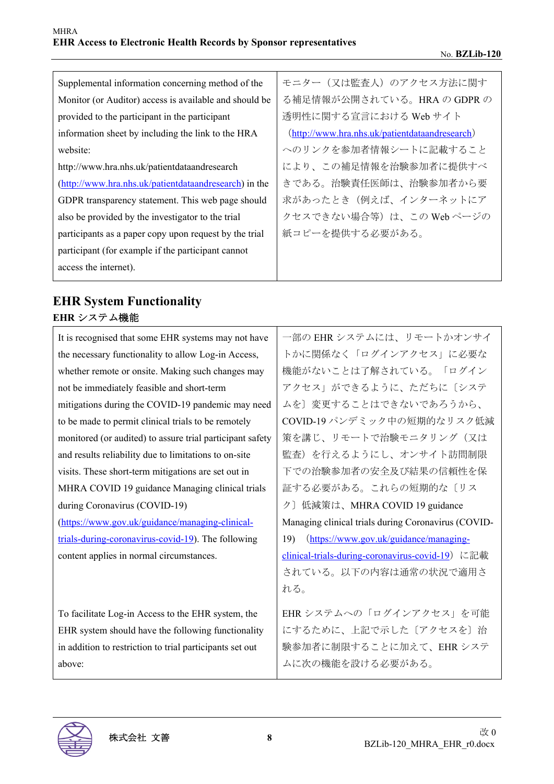| Supplemental information concerning method of the      | モニター(又は監査人)のアクセス方法に関す                          |
|--------------------------------------------------------|------------------------------------------------|
| Monitor (or Auditor) access is available and should be | る補足情報が公開されている。HRAのGDPRの                        |
| provided to the participant in the participant         | 透明性に関する宣言における Web サイト                          |
| information sheet by including the link to the HRA     | (http://www.hra.nhs.uk/patientdataandresearch) |
| website:                                               | へのリンクを参加者情報シートに記載すること                          |
| http://www.hra.nhs.uk/patientdataandresearch           | により、この補足情報を治験参加者に提供すべ                          |
| (http://www.hra.nhs.uk/patientdataandresearch) in the  | きである。治験責任医師は、治験参加者から要                          |
| GDPR transparency statement. This web page should      | 求があったとき(例えば、インターネットにア                          |
| also be provided by the investigator to the trial      | クセスできない場合等)は、この Web ページの                       |
| participants as a paper copy upon request by the trial | 紙コピーを提供する必要がある。                                |
| participant (for example if the participant cannot     |                                                |
| access the internet).                                  |                                                |

## **EHR System Functionality EHR** システム機能

| It is recognised that some EHR systems may not have       | 一部の EHR システムには、リモートかオンサイ                            |
|-----------------------------------------------------------|-----------------------------------------------------|
| the necessary functionality to allow Log-in Access,       | トかに関係なく「ログインアクセス」に必要な                               |
| whether remote or onsite. Making such changes may         | 機能がないことは了解されている。「ログイン                               |
| not be immediately feasible and short-term                | アクセス」ができるように、ただちに〔システ                               |
| mitigations during the COVID-19 pandemic may need         | ムを〕変更することはできないであろうから、                               |
| to be made to permit clinical trials to be remotely       | COVID-19 パンデミック中の短期的なリスク低減                          |
| monitored (or audited) to assure trial participant safety | 策を講じ、リモートで治験モニタリング(又は                               |
| and results reliability due to limitations to on-site     | 監査) を行えるようにし、オンサイト訪問制限                              |
| visits. These short-term mitigations are set out in       | 下での治験参加者の安全及び結果の信頼性を保                               |
| MHRA COVID 19 guidance Managing clinical trials           | 証する必要がある。これらの短期的な〔リス                                |
| during Coronavirus (COVID-19)                             | ク〕低減策は、MHRA COVID 19 guidance                       |
| (https://www.gov.uk/guidance/managing-clinical-           | Managing clinical trials during Coronavirus (COVID- |
| trials-during-coronavirus-covid-19). The following        | (https://www.gov.uk/guidance/managing-<br>19)       |
| content applies in normal circumstances.                  | clinical-trials-during-coronavirus-covid-19) に記載    |
|                                                           | されている。以下の内容は通常の状況で適用さ                               |
|                                                           | れる。                                                 |
|                                                           |                                                     |
| To facilitate Log-in Access to the EHR system, the        | EHRシステムへの「ログインアクセス」を可能                              |
| EHR system should have the following functionality        | にするために、上記で示した〔アクセスを〕治                               |
| in addition to restriction to trial participants set out  | 験参加者に制限することに加えて、EHRシステ                              |
| above:                                                    | ムに次の機能を設ける必要がある。                                    |

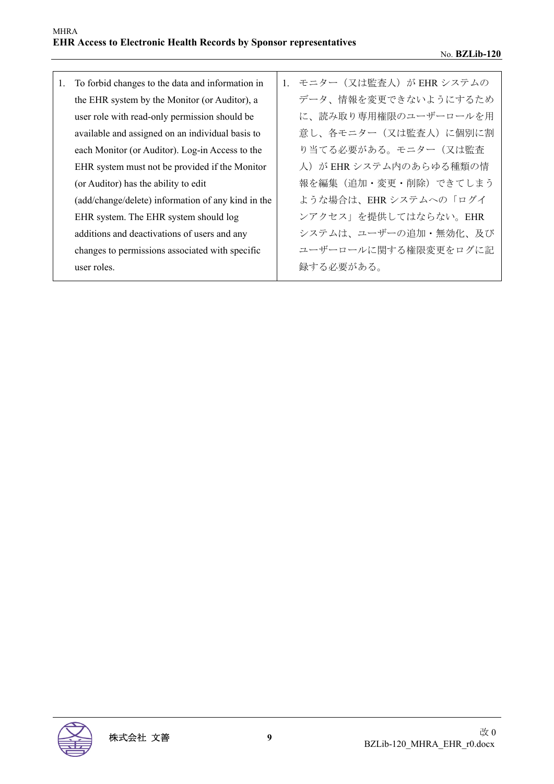1. To forbid changes to the data and information in the EHR system by the Monitor (or Auditor), a user role with read-only permission should be available and assigned on an individual basis to each Monitor (or Auditor). Log-in Access to the EHR system must not be provided if the Monitor (or Auditor) has the ability to edit (add/change/delete) information of any kind in the EHR system. The EHR system should log additions and deactivations of users and any changes to permissions associated with specific user roles. 1. モニター (又は監査人) が EHR システムの データ、情報を変更できないようにするため に、読み取り専用権限のユーザーロールを用 意し、各モニター(又は監査人)に個別に割 り当てる必要がある。モニター(又は監査 人)が EHR システム内のあらゆる種類の情 報を編集(追加・変更・削除)できてしまう ような場合は、EHR システムへの「ログイ ンアクセス」を提供してはならない。EHR システムは、ユーザーの追加・無効化、及び ユーザーロールに関する権限変更をログに記 録する必要がある。

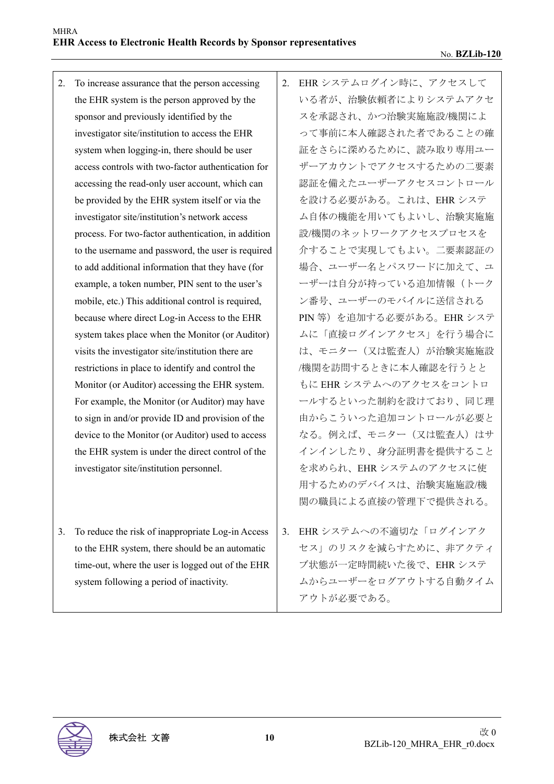- 2. To increase assurance that the person accessing the EHR system is the person approved by the sponsor and previously identified by the investigator site/institution to access the EHR system when logging-in, there should be user access controls with two-factor authentication for accessing the read-only user account, which can be provided by the EHR system itself or via the investigator site/institution's network access process. For two-factor authentication, in addition to the username and password, the user is required to add additional information that they have (for example, a token number, PIN sent to the user's mobile, etc.) This additional control is required, because where direct Log-in Access to the EHR system takes place when the Monitor (or Auditor) visits the investigator site/institution there are restrictions in place to identify and control the Monitor (or Auditor) accessing the EHR system. For example, the Monitor (or Auditor) may have to sign in and/or provide ID and provision of the device to the Monitor (or Auditor) used to access the EHR system is under the direct control of the investigator site/institution personnel.
- 3. To reduce the risk of inappropriate Log-in Access to the EHR system, there should be an automatic time-out, where the user is logged out of the EHR system following a period of inactivity.
- 2. EHR システムログイン時に、アクセスして いる者が、治験依頼者によりシステムアクセ スを承認され、かつ治験実施施設/機関によ って事前に本人確認された者であることの確 証をさらに深めるために、読み取り専用ユー ザーアカウントでアクセスするための二要素 認証を備えたユーザーアクセスコントロール を設ける必要がある。これは、EHR システ ム自体の機能を用いてもよいし、治験実施施 設/機関のネットワークアクセスプロセスを 介することで実現してもよい。二要素認証の 場合、ユーザー名とパスワードに加えて、ユ ーザーは自分が持っている追加情報(トーク ン番号、ユーザーのモバイルに送信される PIN 等)を追加する必要がある。EHR システ ムに「直接ログインアクセス」を行う場合に は、モニター(又は監査人)が治験実施施設 /機関を訪問するときに本人確認を行うとと もに EHR システムへのアクセスをコントロ ールするといった制約を設けており、同じ理 由からこういった追加コントロールが必要と なる。例えば、モニター(又は監査人)はサ インインしたり、身分証明書を提供すること を求められ、EHR システムのアクセスに使 用するためのデバイスは、治験実施施設/機 関の職員による直接の管理下で提供される。
- 3. EHR システムへの不適切な「ログインアク セス」のリスクを減らすために、非アクティ ブ状態が一定時間続いた後で、EHR システ ムからユーザーをログアウトする自動タイム アウトが必要である。

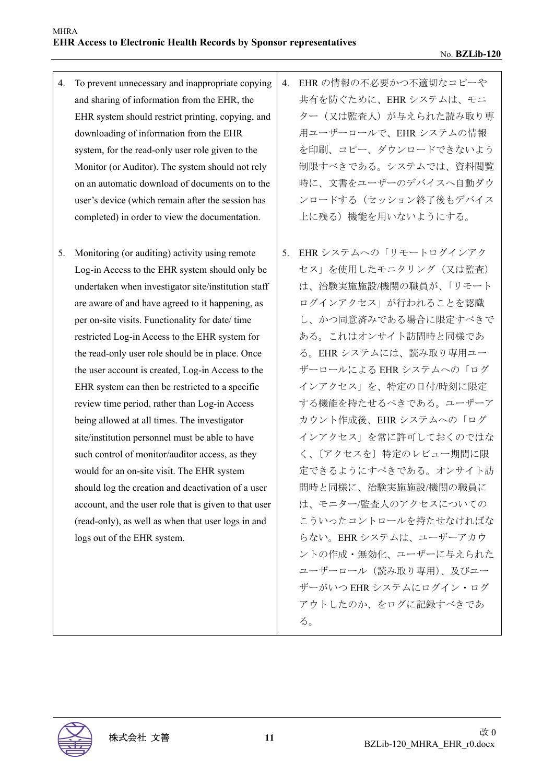- 4. To prevent unnecessary and inappropriate copying and sharing of information from the EHR, the EHR system should restrict printing, copying, and downloading of information from the EHR system, for the read-only user role given to the Monitor (or Auditor). The system should not rely on an automatic download of documents on to the user's device (which remain after the session has completed) in order to view the documentation.
- 5. Monitoring (or auditing) activity using remote Log-in Access to the EHR system should only be undertaken when investigator site/institution staff are aware of and have agreed to it happening, as per on-site visits. Functionality for date/ time restricted Log-in Access to the EHR system for the read-only user role should be in place. Once the user account is created, Log-in Access to the EHR system can then be restricted to a specific review time period, rather than Log-in Access being allowed at all times. The investigator site/institution personnel must be able to have such control of monitor/auditor access, as they would for an on-site visit. The EHR system should log the creation and deactivation of a user account, and the user role that is given to that user (read-only), as well as when that user logs in and logs out of the EHR system.
- 4. EHR の情報の不必要かつ不適切なコピーや 共有を防ぐために、EHR システムは、モニ ター(又は監査人)が与えられた読み取り専 用ユーザーロールで、EHR システムの情報 を印刷、コピー、ダウンロードできないよう 制限すべきである。システムでは、資料閲覧 時に、文書をユーザーのデバイスへ自動ダウ ンロードする(セッション終了後もデバイス 上に残る)機能を用いないようにする。
- 5. EHR システムへの「リモートログインアク セス」を使用したモニタリング(又は監査) は、治験実施施設/機関の職員が、「リモート ログインアクセス」が行われることを認識 し、かつ同意済みである場合に限定すべきで ある。これはオンサイト訪問時と同様であ る。EHR システムには、読み取り専用ユー ザーロールによる EHR システムへの「ログ インアクセス」を、特定の日付/時刻に限定 する機能を持たせるべきである。ユーザーア カウント作成後、EHR システムへの「ログ インアクセス」を常に許可しておくのではな く、〔アクセスを〕特定のレビュー期間に限 定できるようにすべきである。オンサイト訪 問時と同様に、治験実施施設/機関の職員に は、モニター/監査人のアクセスについての こういったコントロールを持たせなければな らない。EHR システムは、ユーザーアカウ ントの作成・無効化、ユーザーに与えられた ユーザーロール(読み取り専用)、及びユー ザーがいつ EHR システムにログイン・ログ アウトしたのか、をログに記録すべきであ る。

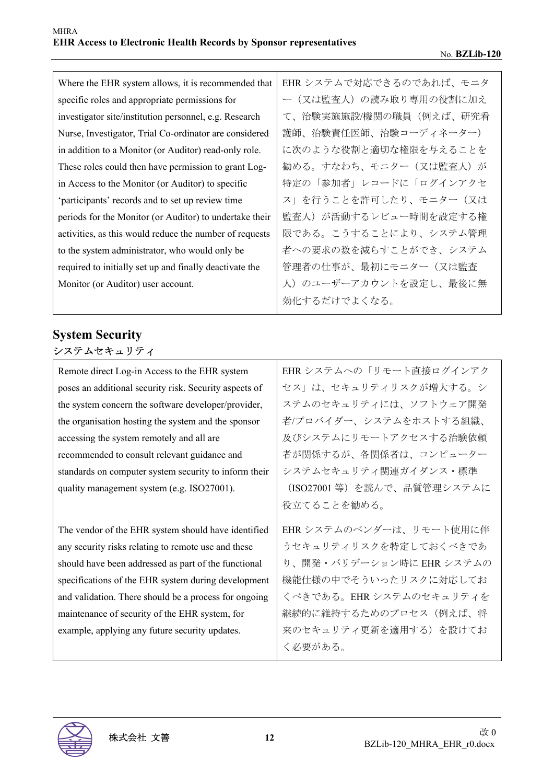| Where the EHR system allows, it is recommended that     | EHRシステムで対応できるのであれば、モニタ |
|---------------------------------------------------------|------------------------|
| specific roles and appropriate permissions for          | ー(又は監査人)の読み取り専用の役割に加え  |
| investigator site/institution personnel, e.g. Research  | て、治験実施施設/機関の職員(例えば、研究看 |
| Nurse, Investigator, Trial Co-ordinator are considered  | 護師、治験責任医師、治験コーディネーター)  |
| in addition to a Monitor (or Auditor) read-only role.   | に次のような役割と適切な権限を与えることを  |
| These roles could then have permission to grant Log-    | 勧める。すなわち、モニター(又は監査人)が  |
| in Access to the Monitor (or Auditor) to specific       | 特定の「参加者」レコードに「ログインアクセ  |
| 'participants' records and to set up review time        | ス」を行うことを許可したり、モニター(又は  |
| periods for the Monitor (or Auditor) to undertake their | 監査人)が活動するレビュー時間を設定する権  |
| activities, as this would reduce the number of requests | 限である。こうすることにより、システム管理  |
| to the system administrator, who would only be          | 者への要求の数を減らすことができ、システム  |
| required to initially set up and finally deactivate the | 管理者の仕事が、最初にモニター(又は監査   |
| Monitor (or Auditor) user account.                      | 人)のユーザーアカウントを設定し、最後に無  |
|                                                         | 効化するだけでよくなる。           |

## **System Security**  システムセキュリティ

Remote direct Log-in Access to the EHR system poses an additional security risk. Security aspects of the system concern the software developer/provider, the organisation hosting the system and the sponsor accessing the system remotely and all are recommended to consult relevant guidance and standards on computer system security to inform their quality management system (e.g. ISO27001).

The vendor of the EHR system should have identified any security risks relating to remote use and these should have been addressed as part of the functional specifications of the EHR system during development and validation. There should be a process for ongoing maintenance of security of the EHR system, for example, applying any future security updates.

EHR システムへの「リモート直接ログインアク セス」は、セキュリティリスクが増大する。シ ステムのセキュリティには、ソフトウェア開発 者/プロバイダー、システムをホストする組織、 及びシステムにリモートアクセスする治験依頼 者が関係するが、各関係者は、コンピューター システムセキュリティ関連ガイダンス・標準 (ISO27001 等)を読んで、品質管理システムに 役立てることを勧める。

EHR システムのベンダーは、リモート使用に伴 うセキュリティリスクを特定しておくべきであ り、開発・バリデーション時に EHR システムの 機能仕様の中でそういったリスクに対応してお くべきである。EHR システムのセキュリティを 継続的に維持するためのプロセス(例えば、将 来のセキュリティ更新を適用する)を設けてお く必要がある。

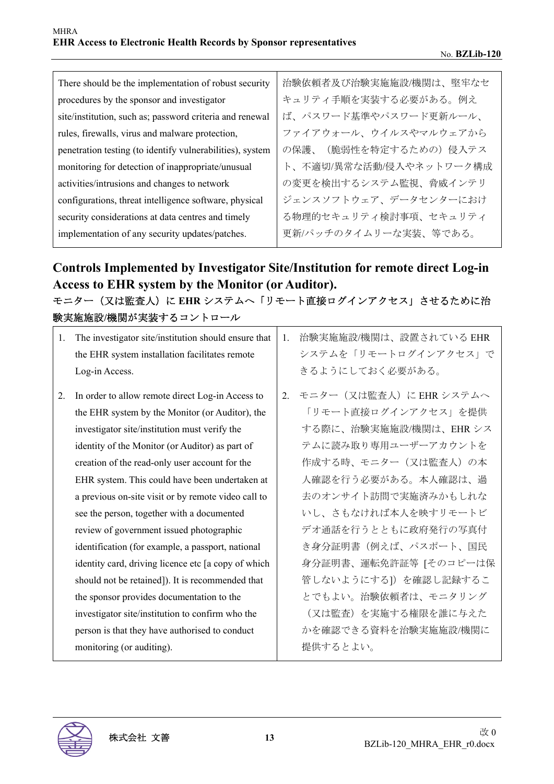| There should be the implementation of robust security     | 治験依頼者及び治験実施施設/機関は、堅牢なセ     |
|-----------------------------------------------------------|----------------------------|
| procedures by the sponsor and investigator                | キュリティ手順を実装する必要がある。例え       |
| site/institution, such as; password criteria and renewal  | ば、パスワード基準やパスワード更新ルール、      |
| rules, firewalls, virus and malware protection,           | ファイアウォール、ウイルスやマルウェアから      |
| penetration testing (to identify vulnerabilities), system | (脆弱性を特定するための) 侵入テス<br>の保護、 |
| monitoring for detection of inappropriate/unusual         | ト、不適切/異常な活動/侵入やネットワーク構成    |
| activities/intrusions and changes to network              | の変更を検出するシステム監視、脅威インテリ      |
| configurations, threat intelligence software, physical    | ジェンスソフトウェア、データセンターにおけ      |
| security considerations at data centres and timely        | る物理的セキュリティ検討事項、セキュリティ      |
| implementation of any security updates/patches.           | 更新/パッチのタイムリーな実装、等である。      |

## **Controls Implemented by Investigator Site/Institution for remote direct Log-in Access to EHR system by the Monitor (or Auditor).**

モニター(又は監査人)に EHR システムへ「リモート直接ログインアクセス」させるために治 験実施施設**/**機関が実装するコントロール

| 治験実施施設/機関は、設置されている EHR<br>システムを「リモートログインアクセス」で |
|------------------------------------------------|
|                                                |
|                                                |
| きるようにしておく必要がある。                                |
| 2. モニター (又は監査人) に EHR システムへ                    |
| 「リモート直接ログインアクセス」を提供                            |
| する際に、治験実施施設/機関は、EHRシス                          |
| テムに読み取り専用ユーザーアカウントを                            |
| 作成する時、モニター(又は監査人)の本                            |
| 人確認を行う必要がある。本人確認は、過                            |
| 去のオンサイト訪問で実施済みかもしれな                            |
| いし、さもなければ本人を映すリモートビ                            |
| デオ通話を行うとともに政府発行の写真付                            |
| き身分証明書(例えば、パスポート、国民                            |
| 身分証明書、運転免許証等 [そのコピーは保                          |
| 管しないようにする]) を確認し記録するこ                          |
| とでもよい。治験依頼者は、モニタリング                            |
| (又は監査)を実施する権限を誰に与えた                            |
| かを確認できる資料を治験実施施設/機関に                           |
| 提供するとよい。                                       |
|                                                |
|                                                |

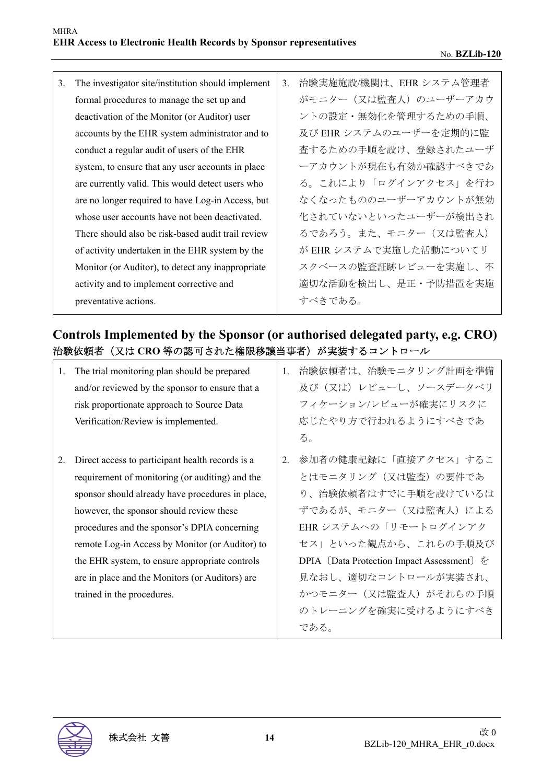3. The investigator site/institution should implement formal procedures to manage the set up and deactivation of the Monitor (or Auditor) user accounts by the EHR system administrator and to conduct a regular audit of users of the EHR system, to ensure that any user accounts in place are currently valid. This would detect users who are no longer required to have Log-in Access, but whose user accounts have not been deactivated. There should also be risk-based audit trail review of activity undertaken in the EHR system by the Monitor (or Auditor), to detect any inappropriate activity and to implement corrective and preventative actions. 3. 治験実施施設/機関は、EHR システム管理者 がモニター (又は監査人)のユーザーアカウ ントの設定・無効化を管理するための手順、 及び EHR システムのユーザーを定期的に監 査するための手順を設け、登録されたユーザ ーアカウントが現在も有効か確認すべきであ る。これにより「ログインアクセス」を行わ なくなったもののユーザーアカウントが無効 化されていないといったユーザーが検出され るであろう。また、モニター(又は監査人) が EHR システムで実施した活動についてリ スクベースの監査証跡レビューを実施し、不 適切な活動を検出し、是正・予防措置を実施 すべきである。

## **Controls Implemented by the Sponsor (or authorised delegated party, e.g. CRO)**  治験依頼者(又は **CRO** 等の認可された権限移譲当事者)が実装するコントロール

| 1. | The trial monitoring plan should be prepared     | 1. | 治験依頼者は、治験モニタリング計画を準備                       |
|----|--------------------------------------------------|----|--------------------------------------------|
|    | and/or reviewed by the sponsor to ensure that a  |    | 及び(又は)レビューし、ソースデータベリ                       |
|    | risk proportionate approach to Source Data       |    | フィケーション/レビューが確実にリスクに                       |
|    | Verification/Review is implemented.              |    | 応じたやり方で行われるようにすべきであ                        |
|    |                                                  |    | る。                                         |
| 2. | Direct access to participant health records is a | 2. | 参加者の健康記録に「直接アクセス」するこ                       |
|    | requirement of monitoring (or auditing) and the  |    | とはモニタリング(又は監査)の要件であ                        |
|    | sponsor should already have procedures in place, |    | り、治験依頼者はすでに手順を設けているは                       |
|    | however, the sponsor should review these         |    | ずであるが、モニター(又は監査人)による                       |
|    | procedures and the sponsor's DPIA concerning     |    | EHR システムへの「リモートログインアク                      |
|    | remote Log-in Access by Monitor (or Auditor) to  |    | セス」といった観点から、これらの手順及び                       |
|    | the EHR system, to ensure appropriate controls   |    | DPIA [Data Protection Impact Assessment] を |
|    | are in place and the Monitors (or Auditors) are  |    | 見なおし、適切なコントロールが実装され、                       |
|    | trained in the procedures.                       |    | かつモニター (又は監査人) がそれらの手順                     |
|    |                                                  |    | のトレーニングを確実に受けるようにすべき                       |
|    |                                                  |    | である。                                       |

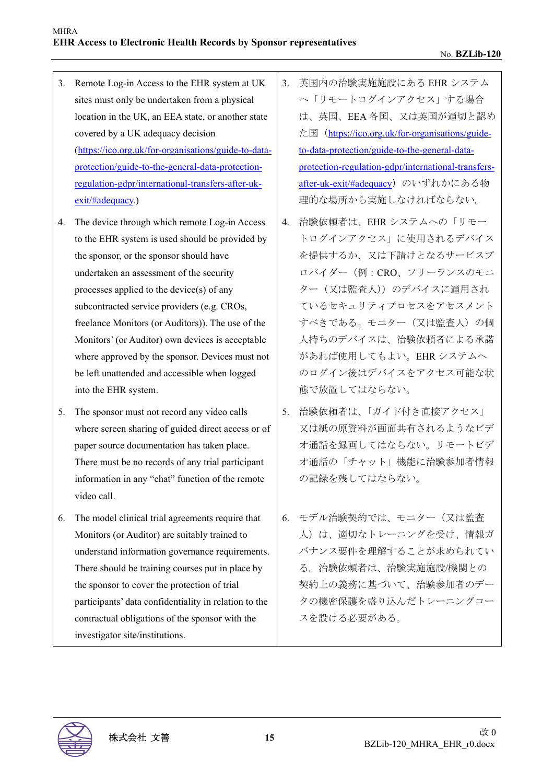- 3. Remote Log-in Access to the EHR system at UK sites must only be undertaken from a physical location in the UK, an EEA state, or another state covered by a UK adequacy decision (https://ico.org.uk/for-organisations/guide-to-dataprotection/guide-to-the-general-data-protectionregulation-gdpr/international-transfers-after-ukexit/#adequacy.)
- 4. The device through which remote Log-in Access to the EHR system is used should be provided by the sponsor, or the sponsor should have undertaken an assessment of the security processes applied to the device(s) of any subcontracted service providers (e.g. CROs, freelance Monitors (or Auditors)). The use of the Monitors' (or Auditor) own devices is acceptable where approved by the sponsor. Devices must not be left unattended and accessible when logged into the EHR system.
- 5. The sponsor must not record any video calls where screen sharing of guided direct access or of paper source documentation has taken place. There must be no records of any trial participant information in any "chat" function of the remote video call.
- 6. The model clinical trial agreements require that Monitors (or Auditor) are suitably trained to understand information governance requirements. There should be training courses put in place by the sponsor to cover the protection of trial participants' data confidentiality in relation to the contractual obligations of the sponsor with the investigator site/institutions.
- 3. 英国内の治験実施施設にある EHR システム へ「リモートログインアクセス」する場合 は、英国、EEA 各国、又は英国が適切と認め た国(https://ico.org.uk/for-organisations/guideto-data-protection/guide-to-the-general-dataprotection-regulation-gdpr/international-transfersafter-uk-exit/#adequacy) のいずれかにある物 理的な場所から実施しなければならない。
- 4. 治験依頼者は、EHR システムへの「リモー トログインアクセス」に使用されるデバイス を提供するか、又は下請けとなるサービスプ ロバイダー(例:CRO、フリーランスのモニ ター(又は監査人))のデバイスに適用され ているセキュリティプロセスをアセスメント すべきである。モニター(又は監査人)の個 人持ちのデバイスは、治験依頼者による承諾 があれば使用してもよい。EHR システムへ のログイン後はデバイスをアクセス可能な状 態で放置してはならない。
- 5. 治験依頼者は、「ガイド付き直接アクセス」 又は紙の原資料が画面共有されるようなビデ オ通話を録画してはならない。リモートビデ オ通話の「チャット」機能に治験参加者情報 の記録を残してはならない。
- 6. モデル治験契約では、モニター(又は監査 人)は、適切なトレーニングを受け、情報ガ バナンス要件を理解することが求められてい る。治験依頼者は、治験実施施設/機関との 契約上の義務に基づいて、治験参加者のデー タの機密保護を盛り込んだトレーニングコー スを設ける必要がある。

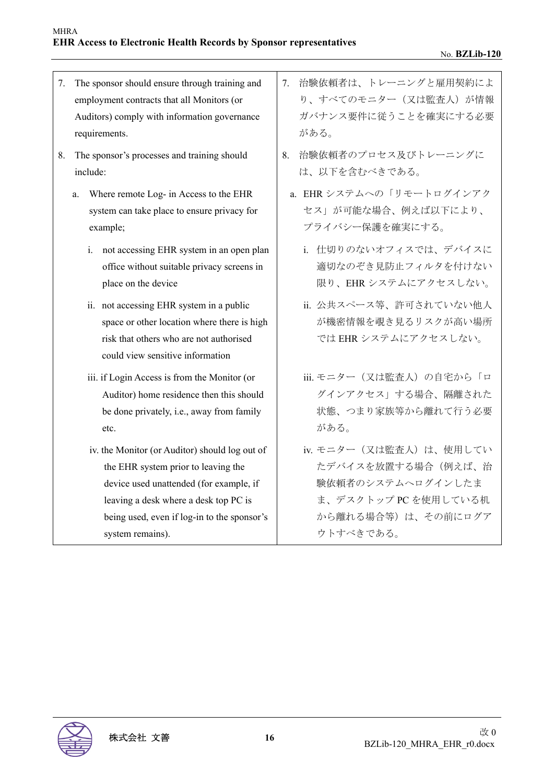7. The sponsor should ensure through training and employment contracts that all Monitors (or Auditors) comply with information governance requirements. 7. 治験依頼者は、トレーニングと雇用契約によ がある。 8. The sponsor's processes and training should include: 8. 治験依頼者のプロセス及びトレーニングに は、以下を含むべきである。 a. Where remote Log- in Access to the EHR system can take place to ensure privacy for example; セス」が可能な場合、例えば以下により、 プライバシー保護を確実にする。 i. not accessing EHR system in an open plan office without suitable privacy screens in place on the device ii. not accessing EHR system in a public space or other location where there is high risk that others who are not authorised could view sensitive information では EHR システムにアクセスしない。 iii. if Login Access is from the Monitor (or Auditor) home residence then this should be done privately, i.e., away from family etc. がある。 iv. the Monitor (or Auditor) should log out of the EHR system prior to leaving the

device used unattended (for example, if leaving a desk where a desk top PC is being used, even if log-in to the sponsor's system remains).

- り、すべてのモニター (又は監査人) が情報 ガバナンス要件に従うことを確実にする必要
- a. EHR システムへの「リモートログインアク
	- i. 仕切りのないオフィスでは、デバイスに 適切なのぞき見防止フィルタを付けない 限り、EHR システムにアクセスしない。
	- ii. 公共スペース等、許可されていない他人 が機密情報を覗き見るリスクが高い場所
	- iii. モニター (又は監査人)の自宅から「ロ グインアクセス」する場合、隔離された 状態、つまり家族等から離れて行う必要
	- iv. モニター (又は監査人)は、使用してい たデバイスを放置する場合(例えば、治 験依頼者のシステムへログインしたま ま、デスクトップ PC を使用している机 から離れる場合等)は、その前にログア ウトすべきである。

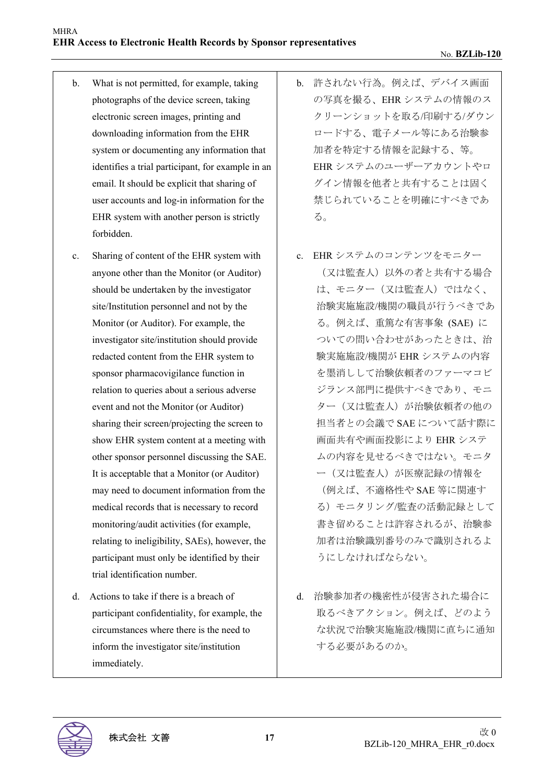- b. What is not permitted, for example, taking photographs of the device screen, taking electronic screen images, printing and downloading information from the EHR system or documenting any information that identifies a trial participant, for example in an email. It should be explicit that sharing of user accounts and log-in information for the EHR system with another person is strictly forbidden.
- c. Sharing of content of the EHR system with anyone other than the Monitor (or Auditor) should be undertaken by the investigator site/Institution personnel and not by the Monitor (or Auditor). For example, the investigator site/institution should provide redacted content from the EHR system to sponsor pharmacovigilance function in relation to queries about a serious adverse event and not the Monitor (or Auditor) sharing their screen/projecting the screen to show EHR system content at a meeting with other sponsor personnel discussing the SAE. It is acceptable that a Monitor (or Auditor) may need to document information from the medical records that is necessary to record monitoring/audit activities (for example, relating to ineligibility, SAEs), however, the participant must only be identified by their trial identification number.
- d. Actions to take if there is a breach of participant confidentiality, for example, the circumstances where there is the need to inform the investigator site/institution immediately.
- b. 許されない行為。例えば、デバイス画面 の写真を撮る、EHR システムの情報のス クリーンショットを取る/印刷する/ダウン ロードする、電子メール等にある治験参 加者を特定する情報を記録する、等。 EHR システムのユーザーアカウントやロ グイン情報を他者と共有することは固く 禁じられていることを明確にすべきであ る。
- c. EHR システムのコンテンツをモニター (又は監査人)以外の者と共有する場合 は、モニター(又は監査人)ではなく、 治験実施施設/機関の職員が行うべきであ る。例えば、重篤な有害事象 (SAE) に ついての問い合わせがあったときは、治 験実施施設/機関が EHR システムの内容 を墨消しして治験依頼者のファーマコビ ジランス部門に提供すべきであり、モニ ター(又は監査人)が治験依頼者の他の 担当者との会議で SAE について話す際に 画面共有や画面投影により EHR システ ムの内容を見せるべきではない。モニタ ー(又は監査人)が医療記録の情報を (例えば、不適格性や SAE 等に関連す る)モニタリング/監査の活動記録として 書き留めることは許容されるが、治験参 加者は治験識別番号のみで識別されるよ うにしなければならない。
- d. 治験参加者の機密性が侵害された場合に 取るべきアクション。例えば、どのよう な状況で治験実施施設/機関に直ちに通知 する必要があるのか。